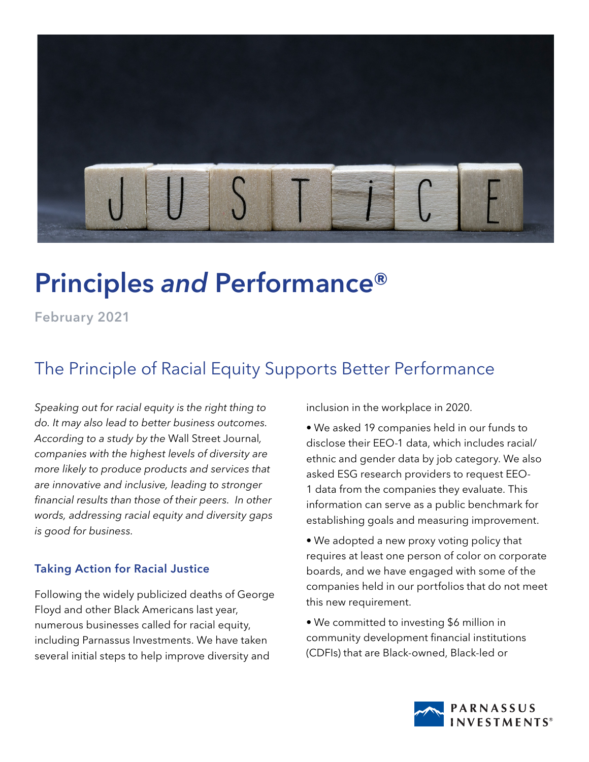

## Principles *and* Performance®

February 2021

## The Principle of Racial Equity Supports Better Performance

*Speaking out for racial equity is the right thing to do. It may also lead to better business outcomes. According to a study by the* Wall Street Journal*, companies with the highest levels of diversity are more likely to produce products and services that are innovative and inclusive, leading to stronger financial results than those of their peers. In other words, addressing racial equity and diversity gaps is good for business.*

## Taking Action for Racial Justice

Following the widely publicized deaths of George Floyd and other Black Americans last year, numerous businesses called for racial equity, including Parnassus Investments. We have taken several initial steps to help improve diversity and

inclusion in the workplace in 2020.

• We asked 19 companies held in our funds to disclose their EEO-1 data, which includes racial/ ethnic and gender data by job category. We also asked ESG research providers to request EEO-1 data from the companies they evaluate. This information can serve as a public benchmark for establishing goals and measuring improvement.

- We adopted a new proxy voting policy that requires at least one person of color on corporate boards, and we have engaged with some of the companies held in our portfolios that do not meet this new requirement.
- We committed to investing \$6 million in community development financial institutions (CDFIs) that are Black-owned, Black-led or